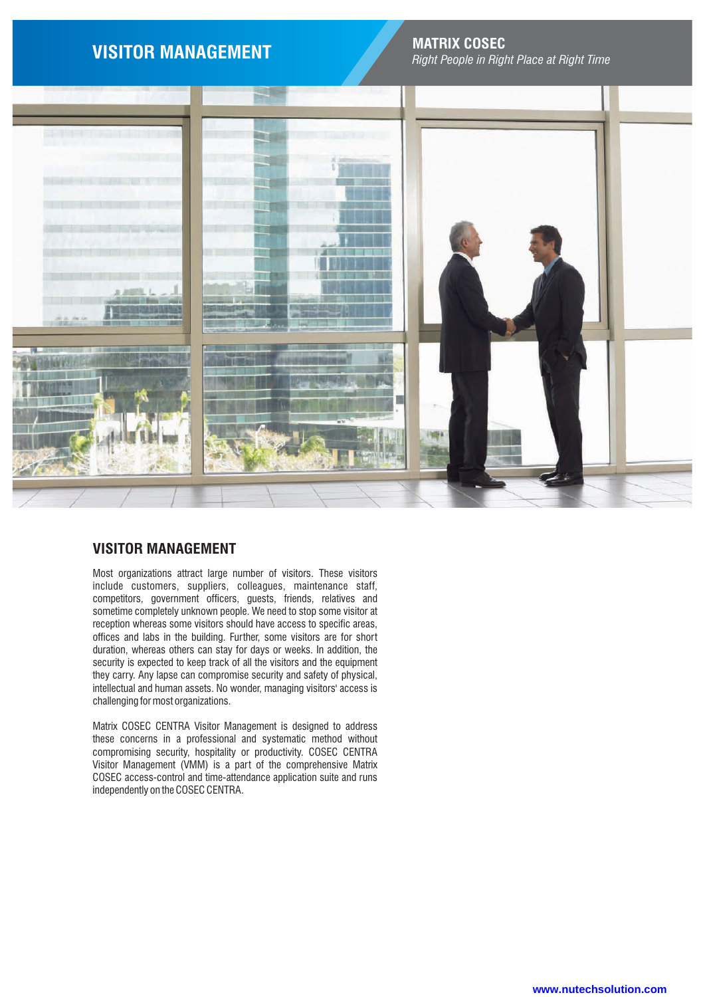

# **MATRIX COSEC VISITOR MANAGEMENT** *Right People in Right Place at Right Time*



# **VISITOR MANAGEMENT**

Most organizations attract large number of visitors. These visitors include customers, suppliers, colleagues, maintenance staff, competitors, government officers, guests, friends, relatives and sometime completely unknown people. We need to stop some visitor at reception whereas some visitors should have access to specific areas, offices and labs in the building. Further, some visitors are for short duration, whereas others can stay for days or weeks. In addition, the security is expected to keep track of all the visitors and the equipment they carry. Any lapse can compromise security and safety of physical, intellectual and human assets. No wonder, managing visitors' access is challenging for most organizations.

Matrix COSEC CENTRA Visitor Management is designed to address these concerns in a professional and systematic method without compromising security, hospitality or productivity. COSEC CENTRA Visitor Management (VMM) is a part of the comprehensive Matrix COSEC access-control and time-attendance application suite and runs independently on the COSEC CENTRA.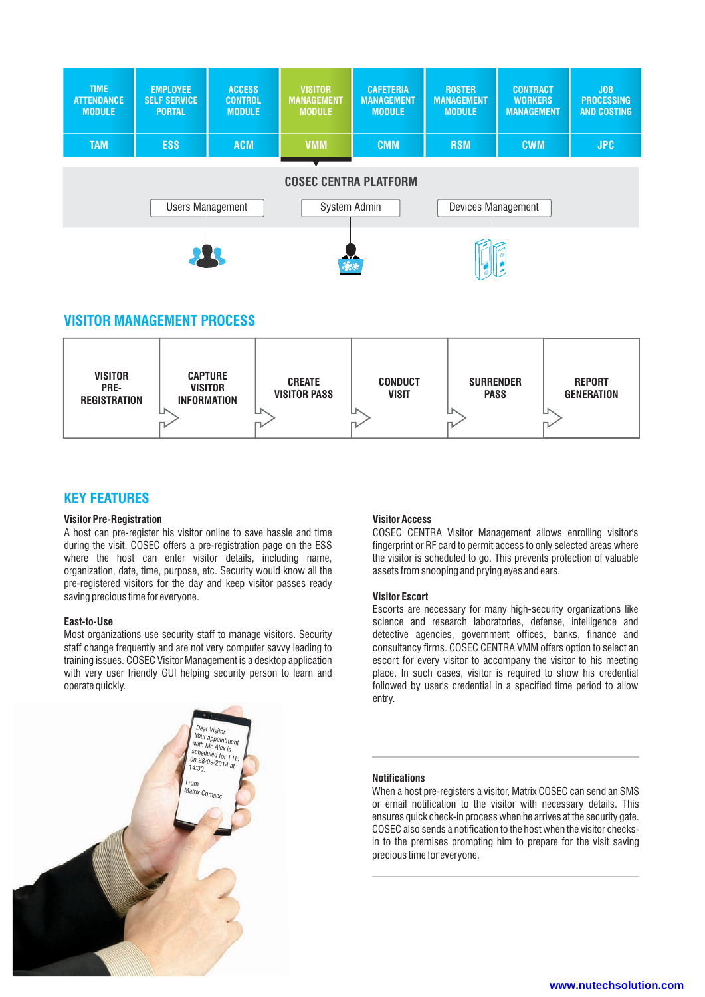

# **VISITOR MANAGEMENT PROCESS**



# **KEY FEATURES**

## **Visitor Pre-Registration**

A host can pre-register his visitor online to save hassle and time during the visit. COSEC offers a pre-registration page on the ESS where the host can enter visitor details, including name, organization, date, time, purpose, etc. Security would know all the pre-registered visitors for the day and keep visitor passes ready saving precious time for everyone.

## **East-to-Use**

Most organizations use security staff to manage visitors. Security staff change frequently and are not very computer savvy leading to training issues. COSEC Visitor Management is a desktop application with very user friendly GUI helping security person to learn and operate quickly.

## **Visitor Access**

COSEC CENTRA Visitor Management allows enrolling visitor's fingerprint or RF card to permit access to only selected areas where the visitor is scheduled to go. This prevents protection of valuable assets from snooping and prying eyes and ears.

# **Visitor Escort**

Escorts are necessary for many high-security organizations like science and research laboratories, defense, intelligence and detective agencies, government offices, banks, finance and consultancy firms. COSEC CENTRA VMM offers option to select an escort for every visitor to accompany the visitor to his meeting place. In such cases, visitor is required to show his credential followed by user's credential in a specified time period to allow entry.

# **Notifications**

When a host pre-registers a visitor, Matrix COSEC can send an SMS or email notification to the visitor with necessary details. This ensures quick check-in process when he arrives at the security gate. COSEC also sends a notification to the host when the visitor checksin to the premises prompting him to prepare for the visit saving precious time for everyone.

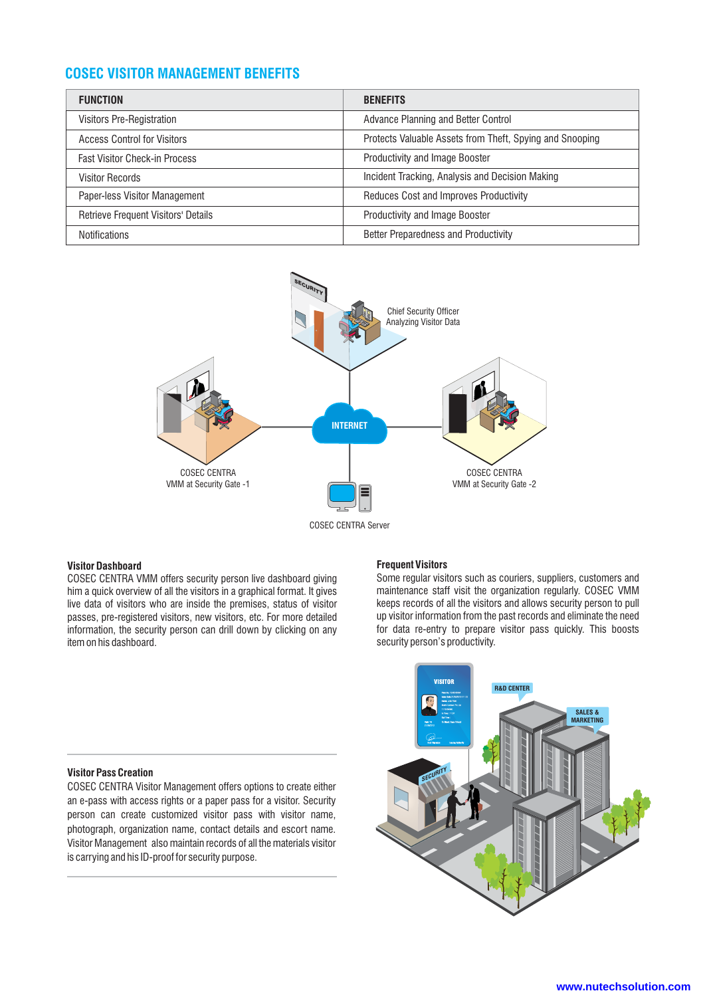# **COSEC VISITOR MANAGEMENT BENEFITS**

| <b>FUNCTION</b>                            | <b>BENEFITS</b>                                          |
|--------------------------------------------|----------------------------------------------------------|
| Visitors Pre-Registration                  | Advance Planning and Better Control                      |
| <b>Access Control for Visitors</b>         | Protects Valuable Assets from Theft, Spying and Snooping |
| <b>Fast Visitor Check-in Process</b>       | <b>Productivity and Image Booster</b>                    |
| <b>Visitor Records</b>                     | Incident Tracking, Analysis and Decision Making          |
| Paper-less Visitor Management              | Reduces Cost and Improves Productivity                   |
| <b>Retrieve Frequent Visitors' Details</b> | Productivity and Image Booster                           |
| <b>Notifications</b>                       | <b>Better Preparedness and Productivity</b>              |



## **Visitor Dashboard**

COSEC CENTRA VMM offers security person live dashboard giving him a quick overview of all the visitors in a graphical format. It gives live data of visitors who are inside the premises, status of visitor passes, pre-registered visitors, new visitors, etc. For more detailed information, the security person can drill down by clicking on any item on his dashboard.

### **Frequent Visitors**

Some regular visitors such as couriers, suppliers, customers and maintenance staff visit the organization regularly. COSEC VMM keeps records of all the visitors and allows security person to pull up visitor information from the past records and eliminate the need for data re-entry to prepare visitor pass quickly. This boosts security person's productivity.

## **Visitor Pass Creation**

COSEC CENTRA Visitor Management offers options to create either an e-pass with access rights or a paper pass for a visitor. Security person can create customized visitor pass with visitor name, photograph, organization name, contact details and escort name. Visitor Management also maintain records of all the materials visitor is carrying and his ID-proof for security purpose.